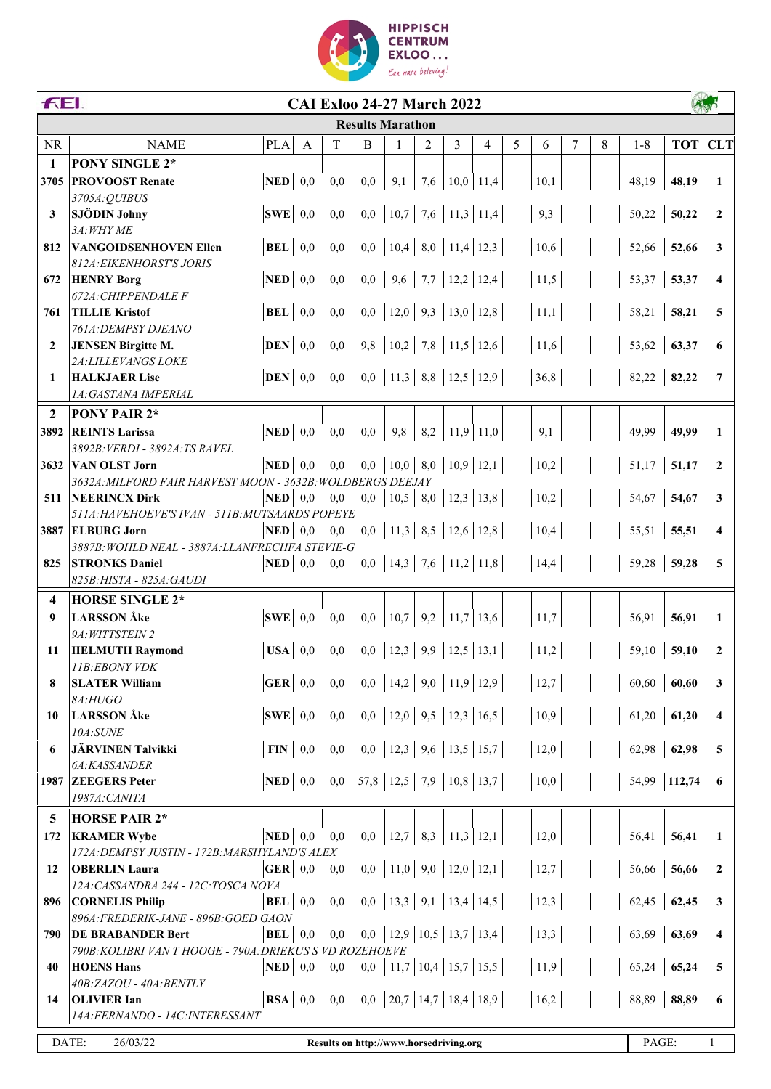

|                         | FEI.<br><b>CAI Exloo 24-27 March 2022</b>                                            |                                         |     |              |     |                                         |     |                     |   |   |      |   |   |         |                 |                          |
|-------------------------|--------------------------------------------------------------------------------------|-----------------------------------------|-----|--------------|-----|-----------------------------------------|-----|---------------------|---|---|------|---|---|---------|-----------------|--------------------------|
|                         |                                                                                      |                                         |     |              |     | <b>Results Marathon</b>                 |     |                     |   |   |      |   |   |         |                 |                          |
| <b>NR</b>               | <b>NAME</b>                                                                          | <b>PLA</b>                              | A   | $\mathbf T$  | B   | $\mathbf{1}$                            | 2   | 3                   | 4 | 5 | 6    | 7 | 8 | $1 - 8$ | <b>TOT</b> CLT  |                          |
| $\mathbf{1}$            | <b>PONY SINGLE 2*</b>                                                                |                                         |     |              |     |                                         |     |                     |   |   |      |   |   |         |                 |                          |
| 3705                    | <b>PROVOOST Renate</b>                                                               | <b>NED</b>                              | 0,0 | 0,0          | 0,0 | 9,1                                     | 7,6 | $10,0$ 11,4         |   |   | 10,1 |   |   | 48,19   | 48,19           | -1                       |
|                         | 3705A: QUIBUS                                                                        |                                         |     |              |     |                                         |     |                     |   |   |      |   |   |         |                 |                          |
| 3                       | <b>SJÖDIN Johny</b>                                                                  | $ {\bf SWE} \;$ 0,0                     |     | 0,0          |     | $0,0$   10,7   7,6   11,3   11,4        |     |                     |   |   | 9,3  |   |   | 50,22   | 50,22           | $\overline{\mathbf{2}}$  |
|                         | 3A: WHY ME                                                                           |                                         |     |              |     |                                         |     |                     |   |   |      |   |   |         |                 |                          |
| 812                     | <b>VANGOIDSENHOVEN Ellen</b>                                                         | <b>BEL</b>                              | 0,0 | 0,0          |     | $0,0$   10,4   8,0   11,4   12,3        |     |                     |   |   | 10,6 |   |   | 52,66   | 52,66           | $\overline{\mathbf{3}}$  |
|                         | 812A: EIKENHORST'S JORIS                                                             |                                         |     |              |     |                                         |     |                     |   |   |      |   |   |         |                 |                          |
| 672                     | <b>HENRY Borg</b><br>672A: CHIPPENDALE F                                             | $\bf NED$ 0,0                           |     | 0,0          |     | $0,0$   9,6   7,7   12,2   12,4         |     |                     |   |   | 11,5 |   |   | 53,37   | 53,37           | $\overline{4}$           |
| 761                     | <b>TILLIE Kristof</b>                                                                | <b>BEL</b>                              | 0,0 | 0,0          |     | $0,0$   12,0   9,3   13,0   12,8        |     |                     |   |   | 11,1 |   |   | 58,21   | 58,21           | $\overline{\phantom{0}}$ |
|                         | 761A: DEMPSY DJEANO                                                                  |                                         |     |              |     |                                         |     |                     |   |   |      |   |   |         |                 |                          |
| $\overline{2}$          | <b>JENSEN Birgitte M.</b>                                                            | <b>DEN</b>                              | 0,0 | 0,0          |     | 9,8   10,2   7,8   11,5   12,6          |     |                     |   |   | 11,6 |   |   | 53,62   | 63,37           | - 6                      |
|                         | 2A: LILLEVANGS LOKE                                                                  |                                         |     |              |     |                                         |     |                     |   |   |      |   |   |         |                 |                          |
| 1                       | <b>HALKJAER Lise</b>                                                                 | $DEN$ 0,0                               |     | 0,0          |     | $0,0$   11,3   8,8   12,5   12,9        |     |                     |   |   | 36,8 |   |   | 82,22   | 82,22           | $\overline{7}$           |
|                         | 1A: GASTANA IMPERIAL                                                                 |                                         |     |              |     |                                         |     |                     |   |   |      |   |   |         |                 |                          |
| $\overline{2}$          | <b>PONY PAIR 2*</b>                                                                  |                                         |     |              |     |                                         |     |                     |   |   |      |   |   |         |                 |                          |
| 3892                    | <b>REINTS Larissa</b>                                                                | $\overline{\text{NED}}$ 0,0             |     | 0,0          | 0,0 | 9,8                                     | 8,2 | $11,9$ 11,0         |   |   | 9,1  |   |   | 49,99   | 49,99           | - 1                      |
|                         | 3892B: VERDI - 3892A: TS RAVEL                                                       |                                         |     |              |     |                                         |     |                     |   |   |      |   |   |         |                 |                          |
| 3632                    | VAN OLST Jorn                                                                        | $\bf NED$ 0,0                           |     | 0,0          |     | $0,0$   10,0   8,0   10,9   12,1        |     |                     |   |   | 10,2 |   |   |         | $51,17$ 51,17 2 |                          |
|                         | 3632A: MILFORD FAIR HARVEST MOON - 3632B: WOLDBERGS DEEJAY                           |                                         |     |              |     |                                         |     |                     |   |   |      |   |   |         |                 |                          |
| 511                     | <b>NEERINCX Dirk</b><br>511A: HAVEHOEVE'S IVAN - 511B: MUTSAARDS POPEYE              | <b>NED</b>                              | 0,0 | 0,0          | 0,0 | 10,5                                    |     | $8,0$   12,3   13,8 |   |   | 10,2 |   |   | 54,67   | 54,67           | $\overline{\mathbf{3}}$  |
| 3887                    | <b>ELBURG Jorn</b>                                                                   | <b>NED</b>                              | 0.0 | 0,0          |     | $0,0$   11,3   8,5   12,6   12,8        |     |                     |   |   | 10,4 |   |   | 55,51   | 55,51           | $\overline{4}$           |
|                         | 3887B: WOHLD NEAL - 3887A: LLANFRECHFA STEVIE-G                                      |                                         |     |              |     |                                         |     |                     |   |   |      |   |   |         |                 |                          |
| 825                     | <b>STRONKS Daniel</b>                                                                | $\bf NED$ 0,0                           |     | 0,0          |     | $0,0$   14,3   7,6   11,2   11,8        |     |                     |   |   | 14,4 |   |   | 59,28   | 59,28           | $\overline{5}$           |
|                         | 825B: HISTA - 825A: GAUDI                                                            |                                         |     |              |     |                                         |     |                     |   |   |      |   |   |         |                 |                          |
| $\overline{\mathbf{4}}$ | <b>HORSE SINGLE 2*</b>                                                               |                                         |     |              |     |                                         |     |                     |   |   |      |   |   |         |                 |                          |
| 9                       | <b>LARSSON</b> Åke                                                                   | $ {\bf SWE} $ 0,0                       |     | 0,0          | 0,0 | 10,7                                    | 9,2 | $11,7$ 13,6         |   |   | 11,7 |   |   | 56,91   | 56,91           | 1                        |
|                         | 9A: WITTSTEIN 2                                                                      |                                         |     |              |     |                                         |     |                     |   |   |      |   |   |         |                 |                          |
| 11                      | <b>HELMUTH Raymond</b>                                                               | $USA \begin{bmatrix} 0.0 \end{bmatrix}$ |     | 0,0          |     | $0,0$   12,3   9,9   12,5   13,1        |     |                     |   |   | 11,2 |   |   | 59,10   | 59,10           | $\overline{2}$           |
|                         | 11B:EBONY VDK                                                                        |                                         |     |              |     |                                         |     |                     |   |   |      |   |   |         |                 |                          |
| 8                       | <b>SLATER William</b>                                                                | $\mathbf{GER} \mid 0,0$                 |     | 0,0          |     | $0,0$   14,2   9,0   11,9   12,9        |     |                     |   |   | 12,7 |   |   | 60,60   | 60,60           | 3                        |
|                         | 8A:HUGO<br><b>LARSSON</b> Åke                                                        | <b>SWE</b>                              |     |              |     |                                         |     |                     |   |   |      |   |   |         |                 |                          |
| 10                      | 10A:SUNE                                                                             |                                         | 0,0 | 0,0          |     | $0,0$   12,0   9,5   12,3   16,5        |     |                     |   |   | 10,9 |   |   | 61,20   | 61,20           | $\overline{4}$           |
| 6                       | <b>JÄRVINEN Talvikki</b>                                                             | FIN                                     | 0,0 | 0,0          |     | $0,0$   12,3   9,6   13,5   15,7        |     |                     |   |   | 12,0 |   |   | 62,98   | 62,98           | 5                        |
|                         | 6A:KASSANDER                                                                         |                                         |     |              |     |                                         |     |                     |   |   |      |   |   |         |                 |                          |
| 1987                    | <b>ZEEGERS</b> Peter                                                                 | $\bf NED$ 0,0                           |     |              |     | $0,0$   57,8   12,5   7,9   10,8   13,7 |     |                     |   |   | 10,0 |   |   |         | 54,99   112,74  | 6                        |
|                         | 1987A: CANITA                                                                        |                                         |     |              |     |                                         |     |                     |   |   |      |   |   |         |                 |                          |
| 5                       | <b>HORSE PAIR 2*</b>                                                                 |                                         |     |              |     |                                         |     |                     |   |   |      |   |   |         |                 |                          |
| 172                     | <b>KRAMER Wybe</b>                                                                   | <b>NED</b>                              | 0,0 | 0,0          | 0,0 | 12,7                                    | 8,3 | $11,3$ 12,1         |   |   | 12,0 |   |   | 56,41   | 56,41           | -1                       |
|                         | 172A: DEMPSY JUSTIN - 172B: MARSHYLAND'S ALEX                                        |                                         |     |              |     |                                         |     |                     |   |   |      |   |   |         |                 |                          |
| 12                      | <b>OBERLIN</b> Laura                                                                 | $\overline{\textbf{GER}}$ 0,0           |     | 0,0          |     | $0,0$   11,0   9,0   12,0   12,1        |     |                     |   |   | 12,7 |   |   | 56,66   | 56,66           | $\overline{\mathbf{2}}$  |
|                         | 12A: CASSANDRA 244 - 12C: TOSCA NOVA                                                 |                                         |     |              |     |                                         |     |                     |   |   |      |   |   |         |                 |                          |
| 896                     | <b>CORNELIS Philip</b>                                                               | $BEL$ 0,0                               |     | 0,0          |     | $0,0$   13,3   9,1   13,4   14,5        |     |                     |   |   | 12,3 |   |   | 62,45   | 62,45           | $\mathbf{3}$             |
|                         | 896A: FREDERIK-JANE - 896B: GOED GAON                                                |                                         |     |              |     |                                         |     |                     |   |   |      |   |   |         |                 |                          |
| 790                     | <b>DE BRABANDER Bert</b><br>790B: KOLIBRI VAN T HOOGE - 790A: DRIEKUS S VD ROZEHOEVE | <b>BEL</b>                              | 0,0 | $_{\rm 0,0}$ |     | $0,0$   12,9   10,5   13,7   13,4       |     |                     |   |   | 13,3 |   |   | 63,69   | 63,69           | $\overline{4}$           |
| 40                      | <b>HOENS Hans</b>                                                                    | <b>NED</b>                              | 0,0 | $_{0,0}$     |     | $0,0$   11,7   10,4   15,7   15,5       |     |                     |   |   | 11,9 |   |   | 65,24   | 65,24           | 5                        |
|                         | 40B: ZAZOU - 40A: BENTLY                                                             |                                         |     |              |     |                                         |     |                     |   |   |      |   |   |         |                 |                          |
| 14                      | <b>OLIVIER Ian</b>                                                                   | $\ $ <b>RSA</b> $\ $ 0,0                |     | 0,0          |     | $0,0$   20,7   14,7   18,4   18,9       |     |                     |   |   | 16,2 |   |   | 88,89   | 88,89           | 6                        |
|                         | 14A:FERNANDO - 14C:INTERESSANT                                                       |                                         |     |              |     |                                         |     |                     |   |   |      |   |   |         |                 |                          |
|                         | DATE:<br>26/03/22                                                                    |                                         |     |              |     | Results on http://www.horsedriving.org  |     |                     |   |   |      |   |   | PAGE:   |                 | $\mathbf{1}$             |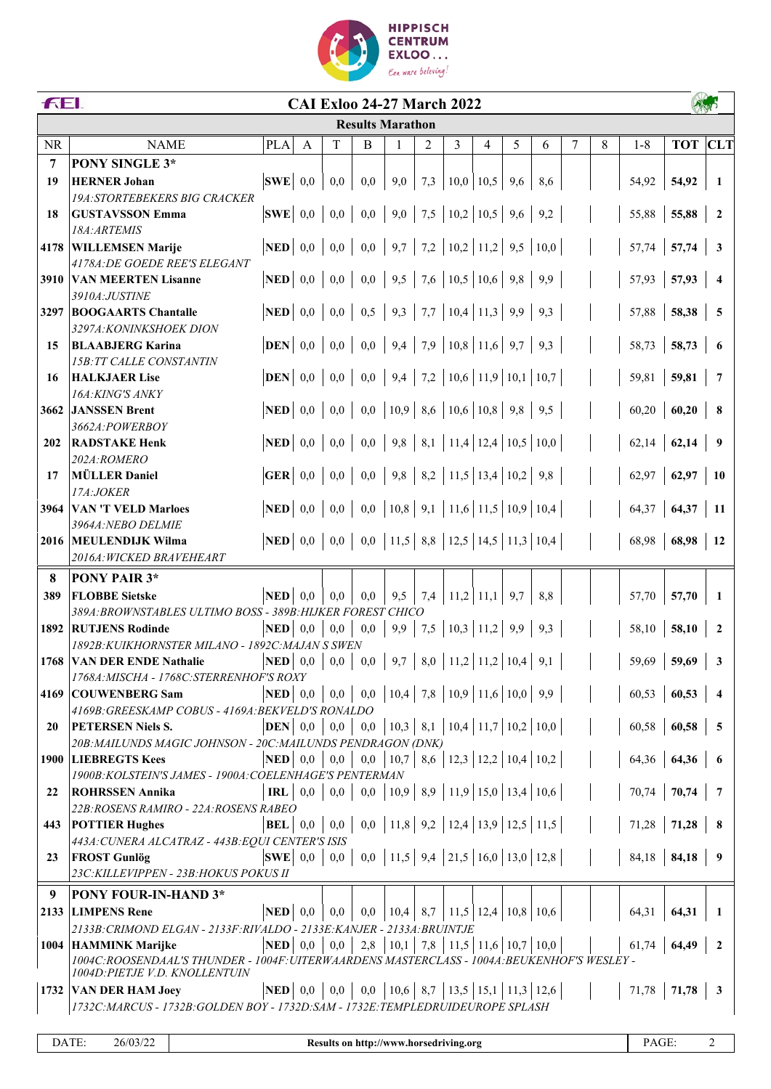

|           | FEI.<br><b>CAI Exloo 24-27 March 2022</b>                                                 |                                                                       |     |     |                                                                       |              |     |                                                                                |            |     |      |   |   |                                                                              |                     |                         |
|-----------|-------------------------------------------------------------------------------------------|-----------------------------------------------------------------------|-----|-----|-----------------------------------------------------------------------|--------------|-----|--------------------------------------------------------------------------------|------------|-----|------|---|---|------------------------------------------------------------------------------|---------------------|-------------------------|
|           |                                                                                           |                                                                       |     |     | <b>Results Marathon</b>                                               |              |     |                                                                                |            |     |      |   |   |                                                                              |                     |                         |
| <b>NR</b> | <b>NAME</b>                                                                               | <b>PLA</b>                                                            | A   | T   | B                                                                     | $\mathbf{1}$ | 2   | 3                                                                              | 4          | 5   | 6    | 7 | 8 | $1 - 8$                                                                      | <b>TOT</b> CLT      |                         |
| 7         | <b>PONY SINGLE 3*</b>                                                                     |                                                                       |     |     |                                                                       |              |     |                                                                                |            |     |      |   |   |                                                                              |                     |                         |
| 19        | <b>HERNER Johan</b>                                                                       | $ {\bf SWE} $ 0.0                                                     |     | 0,0 | 0,0                                                                   | 9,0          | 7,3 | $\mid$ 10,0                                                                    | 10,5       | 9,6 | 8,6  |   |   | 54,92                                                                        | 54,92               | -1                      |
|           | <b>19A:STORTEBEKERS BIG CRACKER</b>                                                       |                                                                       |     |     |                                                                       |              |     |                                                                                |            |     |      |   |   |                                                                              |                     |                         |
| 18        | <b>GUSTAVSSON Emma</b>                                                                    | $ {\bf SWE} $ 0,0                                                     |     | 0,0 | 0,0                                                                   |              |     | $\vert 9,0 \vert 7,5 \vert 10,2 \vert$                                         | $10,5$ 9.6 |     | 9,2  |   |   | 55,88                                                                        | 55,88               | $\overline{2}$          |
|           | 18A: ARTEMIS                                                                              |                                                                       |     |     |                                                                       |              |     |                                                                                |            |     |      |   |   |                                                                              |                     |                         |
| 4178      | <b>WILLEMSEN Marije</b>                                                                   | $\bf NED$ 0,0                                                         |     | 0,0 | 0,0                                                                   |              |     | $\mid$ 9,7   7,2   10,2   11,2   9,5                                           |            |     | 10,0 |   |   | 57,74                                                                        | 57,74               | $\overline{\mathbf{3}}$ |
|           | 4178A: DE GOEDE REE'S ELEGANT                                                             |                                                                       |     |     |                                                                       |              |     |                                                                                |            |     |      |   |   |                                                                              |                     |                         |
| 3910      | <b>VAN MEERTEN Lisanne</b>                                                                | $\bf NED$ 0,0                                                         |     | 0,0 |                                                                       |              |     | $0,0$   9,5   7,6   10,5   10,6   9,8                                          |            |     | 9,9  |   |   | 57,93                                                                        | 57,93               | $\overline{4}$          |
|           | 3910A:JUSTINE                                                                             |                                                                       |     |     |                                                                       |              |     |                                                                                |            |     |      |   |   |                                                                              |                     |                         |
| 3297      | <b>BOOGAARTS Chantalle</b>                                                                | $ \mathbf{NED} $ 0,0   0,0                                            |     |     |                                                                       |              |     | $0,5$   9,3   7,7   10,4   11,3   9,9                                          |            |     | 9,3  |   |   | 57,88                                                                        | 58,38               | 5                       |
|           | 3297A: KONINKSHOEK DION                                                                   |                                                                       |     |     |                                                                       |              |     |                                                                                |            |     |      |   |   |                                                                              |                     |                         |
| 15        | <b>BLAABJERG Karina</b>                                                                   | $ \mathbf{DEN} $ 0,0 0,0                                              |     |     | 0,0                                                                   |              |     | $\mid$ 9,4   7,9   10,8   11,6   9,7                                           |            |     | 9,3  |   |   | 58,73                                                                        | 58,73               | -6                      |
|           | <b>15B: TT CALLE CONSTANTIN</b>                                                           |                                                                       |     |     |                                                                       |              |     |                                                                                |            |     |      |   |   |                                                                              |                     |                         |
| 16        | <b>HALKJAER Lise</b>                                                                      | $DEN$ 0,0                                                             |     | 0,0 | 0,0                                                                   |              |     | $\mid$ 9,4   7,2   10,6   11,9   10,1   10,7                                   |            |     |      |   |   | 59,81                                                                        | 59,81               | $\overline{7}$          |
|           | 16A: KING'S ANKY                                                                          |                                                                       |     |     |                                                                       |              |     |                                                                                |            |     |      |   |   |                                                                              |                     |                         |
| 3662      | <b>JANSSEN Brent</b><br>3662A:POWERBOY                                                    | NED                                                                   | 0,0 | 0,0 | 0,0                                                                   |              |     | $\vert 10.9 \vert 8.6 \vert 10.6 \vert 10.8 \vert 9.8 \vert$                   |            |     | 9,5  |   |   | 60,20                                                                        | 60,20               | - 8                     |
| 202       | <b>RADSTAKE Henk</b>                                                                      | <b>NED</b>                                                            | 0,0 | 0,0 |                                                                       |              |     | $0,0$   9,8   8,1   11,4   12,4   10,5   10,0                                  |            |     |      |   |   | 62,14                                                                        | 62,14               | $\overline{9}$          |
|           | 202A:ROMERO                                                                               |                                                                       |     |     |                                                                       |              |     |                                                                                |            |     |      |   |   |                                                                              |                     |                         |
| 17        | <b>MÜLLER Daniel</b>                                                                      | GER $\begin{array}{ c c c c } \hline 0.0 & 0.0 \hline \end{array}$    |     |     |                                                                       |              |     | $0,0$   9,8   8,2   11,5   13,4   10,2   9,8                                   |            |     |      |   |   |                                                                              | $62,97$ 62,97       | - 10                    |
|           | 17A:JOKER                                                                                 |                                                                       |     |     |                                                                       |              |     |                                                                                |            |     |      |   |   |                                                                              |                     |                         |
| 3964      | <b>VAN 'T VELD Marloes</b>                                                                | <b>NED</b>                                                            | 0,0 | 0,0 | 0,0                                                                   |              |     | $\vert 10,8 \vert 9,1 \vert 11,6 \vert 11,5 \vert 10,9 \vert 10,4 \vert 10,10$ |            |     |      |   |   | 64,37                                                                        | 64,37               | -11                     |
|           | 3964A: NEBO DELMIE                                                                        |                                                                       |     |     |                                                                       |              |     |                                                                                |            |     |      |   |   |                                                                              |                     |                         |
|           | 2016 MEULENDIJK Wilma                                                                     | <b>NED</b>   0,0   0,0   0,0   11,5   8,8   12,5   14,5   11,3   10,4 |     |     |                                                                       |              |     |                                                                                |            |     |      |   |   | 68,98                                                                        | 68,98               | <b>12</b>               |
|           | 2016A: WICKED BRAVEHEART                                                                  |                                                                       |     |     |                                                                       |              |     |                                                                                |            |     |      |   |   |                                                                              |                     |                         |
| 8         | PONY PAIR 3*                                                                              |                                                                       |     |     |                                                                       |              |     |                                                                                |            |     |      |   |   |                                                                              |                     |                         |
| 389       | <b>FLOBBE Sietske</b>                                                                     | <b>NED</b>                                                            | 0,0 | 0,0 | 0,0                                                                   | 9,5          |     | $7,4$   11,2                                                                   | 11,1       | 9,7 | 8,8  |   |   | 57,70                                                                        | 57,70               | - 1                     |
|           | 389A: BROWNSTABLES ULTIMO BOSS - 389B: HIJKER FOREST CHICO                                |                                                                       |     |     |                                                                       |              |     |                                                                                |            |     |      |   |   |                                                                              |                     |                         |
| 1892      | <b>RUTJENS Rodinde</b>                                                                    | <b>NED</b>                                                            | 0,0 | 0,0 | 0,0                                                                   |              |     | 9,9   7,5   10,3   11,2                                                        |            | 9,9 | 9,3  |   |   | 58,10                                                                        | 58,10               | $\overline{2}$          |
|           | 1892B: KUIKHORNSTER MILANO - 1892C: MAJAN S SWEN                                          |                                                                       |     |     |                                                                       |              |     |                                                                                |            |     |      |   |   |                                                                              |                     |                         |
| 1768      | <b>VAN DER ENDE Nathalie</b>                                                              | $\bf NED$ 0,0                                                         |     | 0,0 |                                                                       |              |     | $0,0 \mid 9,7 \mid 8,0 \mid 11,2 \mid 11,2 \mid 10,4 \mid$                     |            |     | 9,1  |   |   | 59,69                                                                        | 59,69               | 3                       |
|           | 1768A: MISCHA - 1768C: STERRENHOF'S ROXY                                                  |                                                                       |     |     |                                                                       |              |     |                                                                                |            |     |      |   |   |                                                                              |                     |                         |
|           | 4169 COUWENBERG Sam                                                                       | <b>NED</b>   0,0   0,0   0,0   10,4   7,8   10,9   11,6   10,0   9,9  |     |     |                                                                       |              |     |                                                                                |            |     |      |   |   |                                                                              | $60,53$   60,53   4 |                         |
|           | 4169B: GREESKAMP COBUS - 4169A: BEKVELD'S RONALDO                                         |                                                                       |     |     |                                                                       |              |     |                                                                                |            |     |      |   |   |                                                                              |                     |                         |
| 20        | <b>PETERSEN Niels S.</b>                                                                  |                                                                       |     |     | <b>DEN</b>   0,0   0,0   0,0   10,3   8,1   10,4   11,7   10,2   10,0 |              |     |                                                                                |            |     |      |   |   | $\begin{array}{ c c c c c c } \hline 60,58 & 60,58 & 5 \ \hline \end{array}$ |                     |                         |
|           | 20B: MAILUNDS MAGIC JOHNSON - 20C: MAILUNDS PENDRAGON (DNK)                               |                                                                       |     |     |                                                                       |              |     |                                                                                |            |     |      |   |   |                                                                              |                     |                         |
|           | 1900 LIEBREGTS Kees<br>1900B: KOLSTEIN'S JAMES - 1900A: COELENHAGE'S PENTERMAN            | <b>NED</b>   0,0   0,0   0,0   10,7   8,6   12,3   12,2   10,4   10,2 |     |     |                                                                       |              |     |                                                                                |            |     |      |   |   | $64,36$ 64,36 6                                                              |                     |                         |
| 22        | <b>ROHRSSEN Annika</b>                                                                    |                                                                       |     |     | <b>IRL</b>   0,0   0,0   0,0   10,9   8,9   11,9   15,0   13,4   10,6 |              |     |                                                                                |            |     |      |   |   | $70,74$   $70,74$   7                                                        |                     |                         |
|           | 22B: ROSENS RAMIRO - 22A: ROSENS RABEO                                                    |                                                                       |     |     |                                                                       |              |     |                                                                                |            |     |      |   |   |                                                                              |                     |                         |
| 443       | <b>POTTIER Hughes</b>                                                                     | <b>BEL</b>   0,0   0,0   0,0   11,8   9,2   12,4   13,9   12,5   11,5 |     |     |                                                                       |              |     |                                                                                |            |     |      |   |   | 71,28   71,28   8                                                            |                     |                         |
|           | 443A: CUNERA ALCATRAZ - 443B: EQUI CENTER'S ISIS                                          |                                                                       |     |     |                                                                       |              |     |                                                                                |            |     |      |   |   |                                                                              |                     |                         |
| 23        | <b>FROST Gunlög</b>                                                                       | <b>SWE</b> 0,0 0,0 0,0 11,5 9,4 21,5 16,0 13,0 12,8                   |     |     |                                                                       |              |     |                                                                                |            |     |      |   |   | $84,18$ 84,18 9                                                              |                     |                         |
|           | 23C: KILLEVIPPEN - 23B: HOKUS POKUS II                                                    |                                                                       |     |     |                                                                       |              |     |                                                                                |            |     |      |   |   |                                                                              |                     |                         |
| 9         | <b>PONY FOUR-IN-HAND 3*</b>                                                               |                                                                       |     |     |                                                                       |              |     |                                                                                |            |     |      |   |   |                                                                              |                     |                         |
|           | 2133 LIMPENS Rene                                                                         | <b>NED</b>   0,0   0,0   0,0   10,4   8,7   11,5   12,4   10,8   10,6 |     |     |                                                                       |              |     |                                                                                |            |     |      |   |   | 64,31                                                                        | 64,31               | $\mathbf{1}$            |
|           | 2133B: CRIMOND ELGAN - 2133F: RIVALDO - 2133E: KANJER - 2133A: BRUINTJE                   |                                                                       |     |     |                                                                       |              |     |                                                                                |            |     |      |   |   |                                                                              |                     |                         |
|           | 1004 HAMMINK Marijke                                                                      | <b>NED</b>   0,0   0,0   2,8   10,1   7,8   11,5   11,6   10,7   10,0 |     |     |                                                                       |              |     |                                                                                |            |     |      |   |   | $61,74$ 64,49                                                                |                     | $\overline{\mathbf{2}}$ |
|           | 1004C:ROOSENDAAL'S THUNDER - 1004F:UITERWAARDENS MASTERCLASS - 1004A:BEUKENHOF'S WESLEY - |                                                                       |     |     |                                                                       |              |     |                                                                                |            |     |      |   |   |                                                                              |                     |                         |
|           | 1004D: PIETJE V.D. KNOLLENTUIN                                                            |                                                                       |     |     |                                                                       |              |     |                                                                                |            |     |      |   |   |                                                                              |                     |                         |
|           | 1732 VAN DER HAM Joey                                                                     | <b>NED</b>   0,0   0,0   0,0   10,6   8,7   13,5   15,1   11,3   12,6 |     |     |                                                                       |              |     |                                                                                |            |     |      |   |   | $71,78$   $71,78$   3                                                        |                     |                         |
|           | 1732C:MARCUS - 1732B:GOLDEN BOY - 1732D:SAM - 1732E:TEMPLEDRUIDEUROPE SPLASH              |                                                                       |     |     |                                                                       |              |     |                                                                                |            |     |      |   |   |                                                                              |                     |                         |
|           |                                                                                           |                                                                       |     |     |                                                                       |              |     |                                                                                |            |     |      |   |   |                                                                              |                     |                         |

DATE: 26/03/22 **Results on http://www.horsedriving.org** PAGE: 2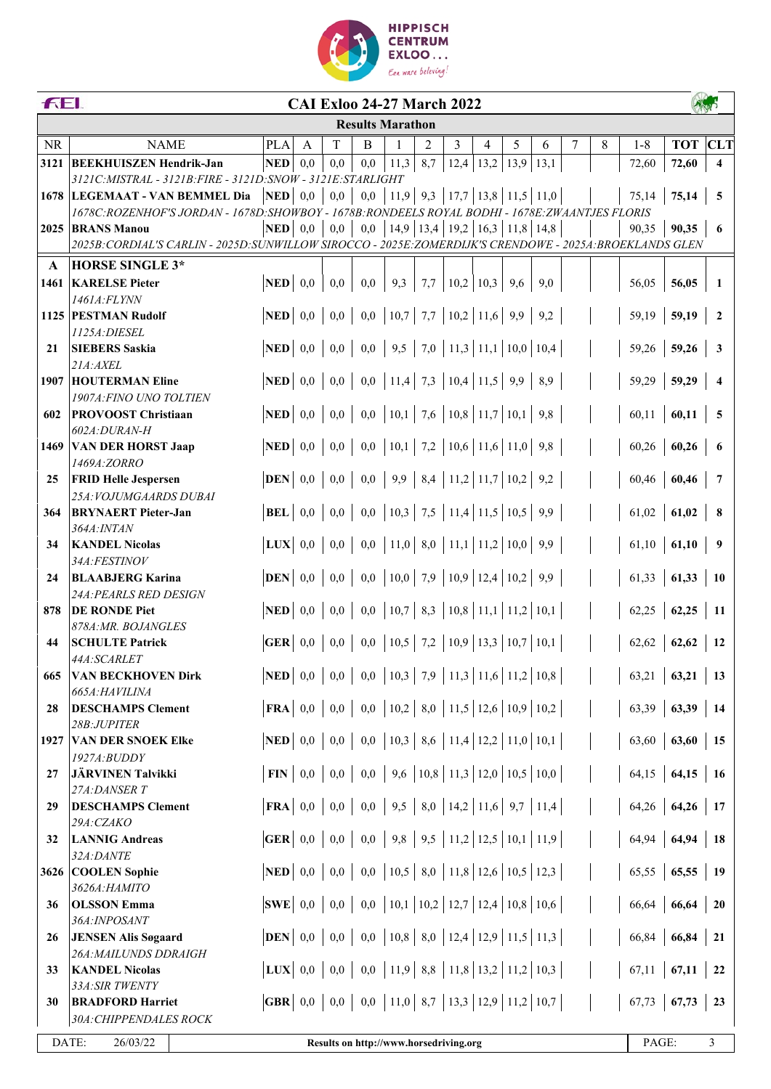

|              | <b>FEI.</b><br><b>CAI Exloo 24-27 March 2022</b>                                                                                  |                                         |              |     |          |                                                                          |     |                                           |                      |   |      |   |   |                                                                                             |                |                         |
|--------------|-----------------------------------------------------------------------------------------------------------------------------------|-----------------------------------------|--------------|-----|----------|--------------------------------------------------------------------------|-----|-------------------------------------------|----------------------|---|------|---|---|---------------------------------------------------------------------------------------------|----------------|-------------------------|
|              |                                                                                                                                   |                                         |              |     |          | <b>Results Marathon</b>                                                  |     |                                           |                      |   |      |   |   |                                                                                             |                |                         |
| <b>NR</b>    | <b>NAME</b>                                                                                                                       | <b>PLA</b>                              | $\mathsf{A}$ | T   | B        | $\mathbf{1}$                                                             | 2   | 3                                         | 4                    | 5 | 6    | 7 | 8 | $1 - 8$                                                                                     | <b>TOT</b> CLT |                         |
| 3121         | <b>BEEKHUISZEN Hendrik-Jan</b>                                                                                                    | <b>NED</b>                              | 0,0          | 0,0 | 0,0      | 11,3                                                                     | 8,7 |                                           | $12,4$   13,2   13,9 |   | 13,1 |   |   | 72,60                                                                                       | 72,60          | $\overline{\mathbf{4}}$ |
|              | 3121C: MISTRAL - 3121B: FIRE - 3121D: SNOW - 3121E: STARLIGHT                                                                     |                                         |              |     |          |                                                                          |     |                                           |                      |   |      |   |   |                                                                                             |                |                         |
|              | 1678   LEGEMAAT - VAN BEMMEL Dia<br>1678C:ROZENHOF'S JORDAN - 1678D:SHOWBOY - 1678B:RONDEELS ROYAL BODHI - 1678E:ZWAANTJES FLORIS | $\vert$ NED $\vert$ 0,0                 |              | 0,0 |          | $0,0$   11,9   9,3   17,7   13,8   11,5   11,0                           |     |                                           |                      |   |      |   |   | 75,14                                                                                       | 75,14          | 5                       |
|              | 2025 BRANS Manou                                                                                                                  | <b>NED</b>                              | 0,0          | 0,0 | 0,0      |                                                                          |     | $14,9$   13,4   19,2   16,3   11,8   14,8 |                      |   |      |   |   | 90,35                                                                                       | 90,35          | 6                       |
|              | 2025B:CORDIAL'S CARLIN - 2025D:SUNWILLOW SIROCCO - 2025E:ZOMERDIJK'S CRENDOWE - 2025A:BROEKLANDS GLEN                             |                                         |              |     |          |                                                                          |     |                                           |                      |   |      |   |   |                                                                                             |                |                         |
| $\mathbf{A}$ | <b>HORSE SINGLE 3*</b>                                                                                                            |                                         |              |     |          |                                                                          |     |                                           |                      |   |      |   |   |                                                                                             |                |                         |
|              | 1461 KARELSE Pieter                                                                                                               | <b>NED</b>                              | 0,0          | 0,0 | 0,0      | 9,3                                                                      | 7,7 |                                           | $10,2$   10,3   9,6  |   | 9,0  |   |   | 56,05                                                                                       | 56,05          | $\mathbf{1}$            |
|              | 1461A:FLYNN                                                                                                                       |                                         |              |     |          |                                                                          |     |                                           |                      |   |      |   |   |                                                                                             |                |                         |
|              | 1125 PESTMAN Rudolf                                                                                                               | $\vert$ NED $\vert$ 0,0                 |              | 0,0 |          | $0,0$   10,7   7,7   10,2   11,6   9,9   9,2                             |     |                                           |                      |   |      |   |   | 59,19                                                                                       | 59,19          | $\overline{2}$          |
| 21           | 1125A: DIESEL<br><b>SIEBERS Saskia</b>                                                                                            | <b>NED</b>                              | 0,0          | 0,0 |          | $0,0$   9,5   7,0   11,3   11,1   10,0   10,4                            |     |                                           |                      |   |      |   |   | 59,26                                                                                       | 59,26          | $\mathbf{3}$            |
|              | 21A:AXEL                                                                                                                          |                                         |              |     |          |                                                                          |     |                                           |                      |   |      |   |   |                                                                                             |                |                         |
|              | <b>1907 HOUTERMAN Eline</b>                                                                                                       | $\bf NED$ 0,0                           |              | 0,0 |          | 0,0   11,4   7,3   10,4   11,5   9,9   8,9                               |     |                                           |                      |   |      |   |   | 59,29                                                                                       | 59,29          | $\overline{\bf{4}}$     |
|              | 1907A: FINO UNO TOLTIEN                                                                                                           |                                         |              |     |          |                                                                          |     |                                           |                      |   |      |   |   |                                                                                             |                |                         |
| 602          | <b>PROVOOST Christiaan</b>                                                                                                        | NED                                     | 0,0          | 0,0 |          | $0,0$   10,1   7,6   10,8   11,7   10,1   9,8                            |     |                                           |                      |   |      |   |   | 60,11                                                                                       | 60,11          | 5                       |
|              | 602A:DURAN-H<br>1469 VAN DER HORST Jaap                                                                                           | NED                                     | 0,0          | 0,0 |          | $0,0$   10,1   7,2   10,6   11,6   11,0   9,8                            |     |                                           |                      |   |      |   |   | 60,26                                                                                       | 60,26          | 6                       |
|              | 1469A:ZORRO                                                                                                                       |                                         |              |     |          |                                                                          |     |                                           |                      |   |      |   |   |                                                                                             |                |                         |
| 25           | <b>FRID Helle Jespersen</b>                                                                                                       | $\bf  $ DEN 0,0                         |              | 0,0 |          | $0,0 \mid 9,9 \mid 8,4 \mid 11,2 \mid 11,7 \mid 10,2 \mid 9,2$           |     |                                           |                      |   |      |   |   | 60,46                                                                                       | 60,46          | $\overline{7}$          |
|              | 25A: VOJUMGAARDS DUBAI                                                                                                            |                                         |              |     |          |                                                                          |     |                                           |                      |   |      |   |   |                                                                                             |                |                         |
| 364          | <b>BRYNAERT</b> Pieter-Jan                                                                                                        | <b>BEL</b>                              | 0,0          |     |          | $0,0 \mid 0,0 \mid 10,3 \mid 7,5 \mid 11,4 \mid 11,5 \mid 10,5 \mid 9,9$ |     |                                           |                      |   |      |   |   | 61,02                                                                                       | 61,02          | 8                       |
|              | 364A: INTAN                                                                                                                       | $ LUX $ 0,0                             |              |     |          |                                                                          |     |                                           |                      |   |      |   |   |                                                                                             |                |                         |
| 34           | <b>KANDEL Nicolas</b><br>34A:FESTINOV                                                                                             |                                         |              | 0,0 |          | $0,0$   11,0   8,0   11,1   11,2   10,0   9,9                            |     |                                           |                      |   |      |   |   | 61,10                                                                                       | 61,10          | 9                       |
| 24           | <b>BLAABJERG Karina</b>                                                                                                           | <b>DEN</b>                              | 0,0          | 0,0 | $_{0,0}$ | $\vert 10,0 \vert 7,9 \vert 10,9 \vert 12,4 \vert 10,2 \vert 9,9$        |     |                                           |                      |   |      |   |   | 61,33                                                                                       | 61,33          | <b>10</b>               |
|              | 24A: PEARLS RED DESIGN                                                                                                            |                                         |              |     |          |                                                                          |     |                                           |                      |   |      |   |   |                                                                                             |                |                         |
| 878          | <b>DE RONDE Piet</b>                                                                                                              | <b>NED</b>                              | 0,0          | 0,0 |          | $0,0$   10,7   8,3   10,8   11,1   11,2   10,1                           |     |                                           |                      |   |      |   |   | 62,25                                                                                       | 62,25          | -11                     |
|              | 878A: MR. BOJANGLES                                                                                                               |                                         |              |     |          |                                                                          |     |                                           |                      |   |      |   |   |                                                                                             |                |                         |
| 44           | <b>SCHULTE Patrick</b><br>44A:SCARLET                                                                                             | $\overline{\textbf{GER}} \mid 0,0$      |              | 0,0 |          | $0,0$   10,5   7,2   10,9   13,3   10,7   10,1                           |     |                                           |                      |   |      |   |   | 62,62                                                                                       | 62,62          | <b>12</b>               |
| 665          | <b>VAN BECKHOVEN Dirk</b>                                                                                                         |                                         |              |     |          |                                                                          |     |                                           |                      |   |      |   |   | <b>NED</b>   0,0   0,0   0,0   10,3   7,9   11,3   11,6   11,2   10,8         63,21   63,21 |                | 13                      |
|              | 665A:HAVILINA                                                                                                                     |                                         |              |     |          |                                                                          |     |                                           |                      |   |      |   |   |                                                                                             |                |                         |
| 28           | <b>DESCHAMPS Clement</b>                                                                                                          | $\mathbf{FRA}$ 0,0                      |              | 0,0 |          | $0,0$   10,2   8,0   11,5   12,6   10,9   10,2                           |     |                                           |                      |   |      |   |   | 63,39                                                                                       | 63,39          | 14                      |
|              | 28B:JUPITER                                                                                                                       |                                         |              |     |          |                                                                          |     |                                           |                      |   |      |   |   |                                                                                             |                |                         |
| 1927         | <b>VAN DER SNOEK Elke</b><br>1927A:BUDDY                                                                                          | $\bf NED$ 0,0                           |              | 0,0 |          | $0,0$   10,3   8,6   11,4   12,2   11,0   10,1                           |     |                                           |                      |   |      |   |   | 63,60                                                                                       | 63,60          | 15                      |
| 27           | <b>JÄRVINEN Talvikki</b>                                                                                                          | $\textbf{FIN} \mid 0,0$                 |              | 0,0 |          | 0,0   9,6   10,8   11,3   12,0   10,5   10,0                             |     |                                           |                      |   |      |   |   | 64,15                                                                                       | 64,15          | <b>16</b>               |
|              | 27A:DANSER T                                                                                                                      |                                         |              |     |          |                                                                          |     |                                           |                      |   |      |   |   |                                                                                             |                |                         |
| 29           | <b>DESCHAMPS Clement</b>                                                                                                          | $ $ FRA $ $ 0,0 $ $                     |              | 0,0 |          | $0,0 \mid 9,5 \mid 8,0 \mid 14,2 \mid 11,6 \mid 9,7 \mid 11,4 \mid$      |     |                                           |                      |   |      |   |   |                                                                                             | $64,26$ 64,26  | 17                      |
|              | 29A:CZAKO                                                                                                                         |                                         |              |     |          |                                                                          |     |                                           |                      |   |      |   |   |                                                                                             |                |                         |
| 32           | <b>LANNIG Andreas</b>                                                                                                             |                                         |              | 0,0 |          | $0,0$   9,8   9,5   11,2   12,5   10,1   11,9                            |     |                                           |                      |   |      |   |   | 64,94                                                                                       | 64,94          | <b>18</b>               |
|              | 32A:DANTE<br>3626 COOLEN Sophie                                                                                                   | NED                                     | 0,0          | 0,0 |          | 0,0   10,5   8,0   11,8   12,6   10,5   12,3                             |     |                                           |                      |   |      |   |   | 65,55                                                                                       | 65,55          | -19                     |
|              | 3626А: НАМІТО                                                                                                                     |                                         |              |     |          |                                                                          |     |                                           |                      |   |      |   |   |                                                                                             |                |                         |
| 36           | <b>OLSSON</b> Emma                                                                                                                | $ {\bf SWE} $ 0,0                       |              | 0,0 |          | 0,0   10,1   10,2   12,7   12,4   10,8   10,6                            |     |                                           |                      |   |      |   |   | 66,64                                                                                       | 66,64          | 20                      |
|              | 36A:INPOSANT                                                                                                                      |                                         |              |     |          |                                                                          |     |                                           |                      |   |      |   |   |                                                                                             |                |                         |
| 26           | <b>JENSEN Alis Søgaard</b><br>26A: MAILUNDS DDRAIGH                                                                               | $\bf  $ DEN 0,0                         |              | 0,0 |          | $[0,0]$ $[10,8]$ $[8,0]$ $[12,4]$ $[12,9]$ $[11,5]$ $[11,3]$             |     |                                           |                      |   |      |   |   | 66,84                                                                                       | 66,84          | 21                      |
| 33           | <b>KANDEL Nicolas</b>                                                                                                             | $ LUX $ 0,0                             |              |     |          |                                                                          |     |                                           |                      |   |      |   |   | 67,11                                                                                       | 67,11          | 22                      |
|              | 33A: SIR TWENTY                                                                                                                   |                                         |              |     |          |                                                                          |     |                                           |                      |   |      |   |   |                                                                                             |                |                         |
| 30           | <b>BRADFORD Harriet</b>                                                                                                           | GBR $\begin{array}{ c} 0,0 \end{array}$ |              | 0,0 |          | 0,0   11,0   8,7   13,3   12,9   11,2   10,7                             |     |                                           |                      |   |      |   |   | 67,73                                                                                       | 67,73          | 23                      |
|              | 30A: CHIPPENDALES ROCK                                                                                                            |                                         |              |     |          |                                                                          |     |                                           |                      |   |      |   |   |                                                                                             |                |                         |
|              | DATE:<br>26/03/22                                                                                                                 |                                         |              |     |          | Results on http://www.horsedriving.org                                   |     |                                           |                      |   |      |   |   | PAGE:                                                                                       |                | 3                       |